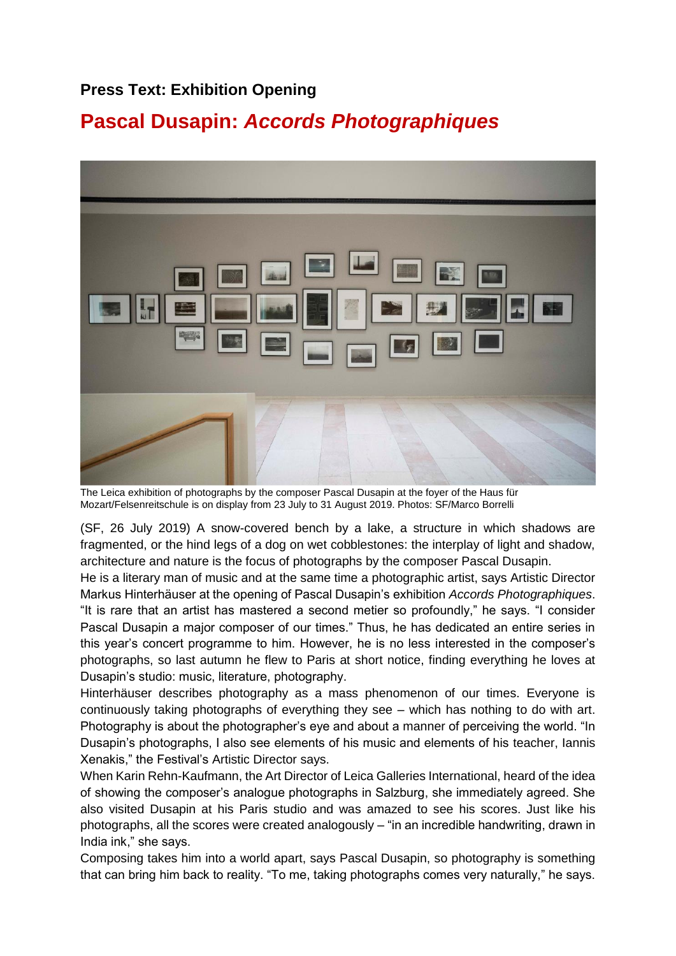## **Press Text: Exhibition Opening**

# **Pascal Dusapin:** *Accords Photographiques*



The Leica exhibition of photographs by the composer Pascal Dusapin at the foyer of the Haus für Mozart/Felsenreitschule is on display from 23 July to 31 August 2019. Photos: SF/Marco Borrelli

(SF, 26 July 2019) A snow-covered bench by a lake, a structure in which shadows are fragmented, or the hind legs of a dog on wet cobblestones: the interplay of light and shadow, architecture and nature is the focus of photographs by the composer Pascal Dusapin.

He is a literary man of music and at the same time a photographic artist, says Artistic Director Markus Hinterhäuser at the opening of Pascal Dusapin's exhibition *Accords Photographiques*. "It is rare that an artist has mastered a second metier so profoundly," he says. "I consider Pascal Dusapin a major composer of our times." Thus, he has dedicated an entire series in this year's concert programme to him. However, he is no less interested in the composer's photographs, so last autumn he flew to Paris at short notice, finding everything he loves at Dusapin's studio: music, literature, photography.

Hinterhäuser describes photography as a mass phenomenon of our times. Everyone is continuously taking photographs of everything they see – which has nothing to do with art. Photography is about the photographer's eye and about a manner of perceiving the world. "In Dusapin's photographs, I also see elements of his music and elements of his teacher, Iannis Xenakis," the Festival's Artistic Director says.

When Karin Rehn-Kaufmann, the Art Director of Leica Galleries International, heard of the idea of showing the composer's analogue photographs in Salzburg, she immediately agreed. She also visited Dusapin at his Paris studio and was amazed to see his scores. Just like his photographs, all the scores were created analogously – "in an incredible handwriting, drawn in India ink," she says.

Composing takes him into a world apart, says Pascal Dusapin, so photography is something that can bring him back to reality. "To me, taking photographs comes very naturally," he says.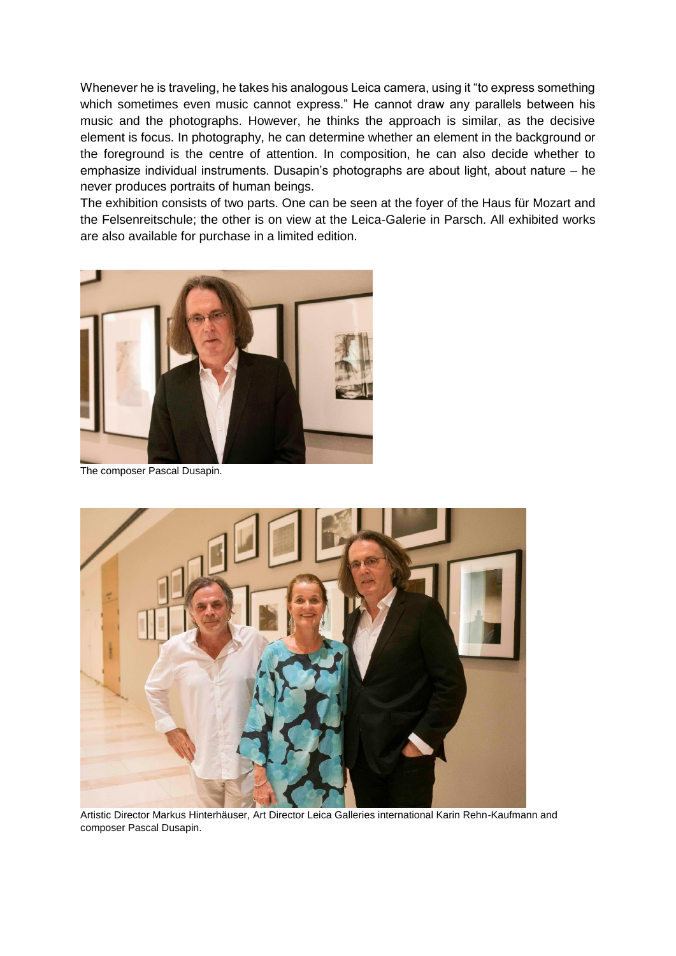Whenever he is traveling, he takes his analogous Leica camera, using it "to express something which sometimes even music cannot express." He cannot draw any parallels between his music and the photographs. However, he thinks the approach is similar, as the decisive element is focus. In photography, he can determine whether an element in the background or the foreground is the centre of attention. In composition, he can also decide whether to emphasize individual instruments. Dusapin's photographs are about light, about nature – he never produces portraits of human beings.

The exhibition consists of two parts. One can be seen at the foyer of the Haus für Mozart and the Felsenreitschule; the other is on view at the Leica-Galerie in Parsch. All exhibited works are also available for purchase in a limited edition.



The composer Pascal Dusapin.



Artistic Director Markus Hinterhäuser, Art Director Leica Galleries international Karin Rehn-Kaufmann and composer Pascal Dusapin.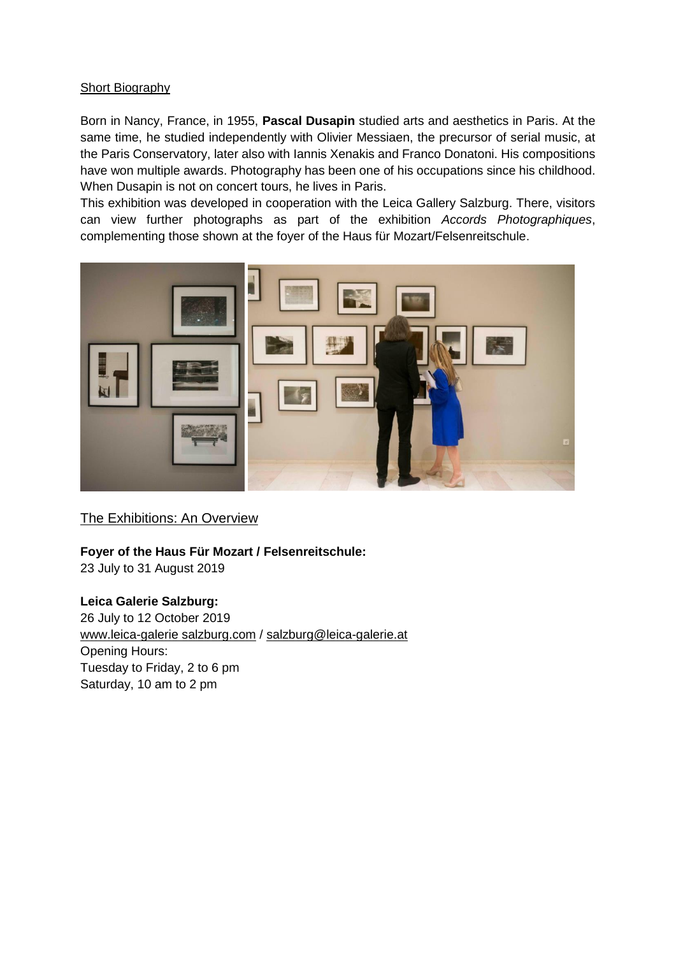### **Short Biography**

Born in Nancy, France, in 1955, **Pascal Dusapin** studied arts and aesthetics in Paris. At the same time, he studied independently with Olivier Messiaen, the precursor of serial music, at the Paris Conservatory, later also with Iannis Xenakis and Franco Donatoni. His compositions have won multiple awards. Photography has been one of his occupations since his childhood. When Dusapin is not on concert tours, he lives in Paris.

This exhibition was developed in cooperation with the Leica Gallery Salzburg. There, visitors can view further photographs as part of the exhibition *Accords Photographiques*, complementing those shown at the foyer of the Haus für Mozart/Felsenreitschule.



## The Exhibitions: An Overview

## **Foyer of the Haus Für Mozart / Felsenreitschule:**

23 July to 31 August 2019

### **Leica Galerie Salzburg:**

26 July to 12 October 2019 [www.leica-galerie salzburg.com](http://www.leica-galerie-salzburg.com/mailster/1314/00000000000000000000000000000000/aHR0cDovL3d3dy5sZWljYS1nYWxlcmllLXNhbHpidXJnLmNvbS8) / salzburg@leica-galerie.at Opening Hours: Tuesday to Friday, 2 to 6 pm Saturday, 10 am to 2 pm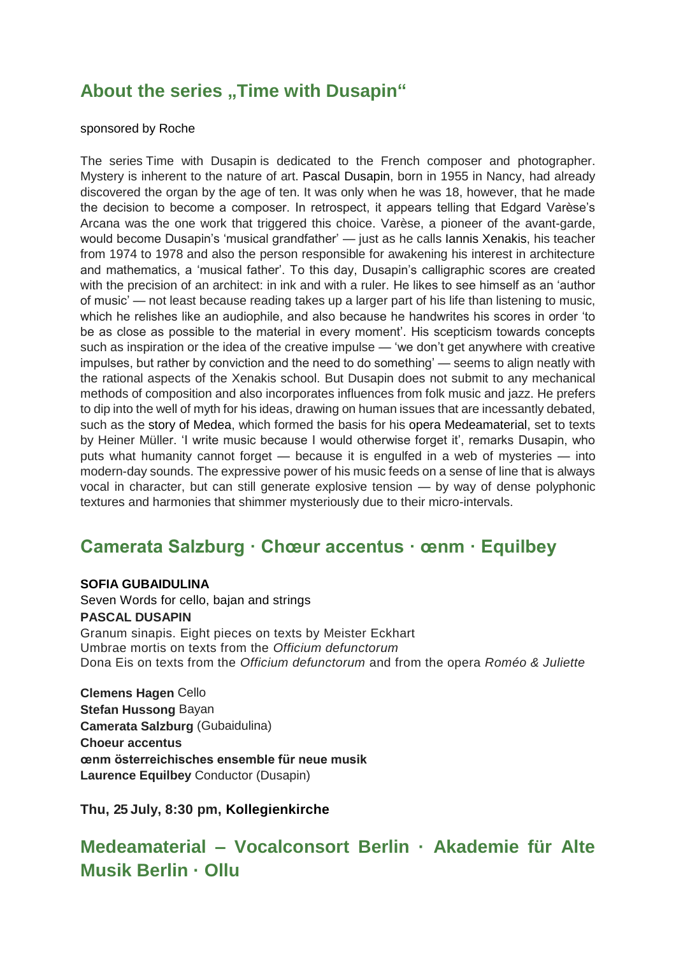# **About the series ..Time with Dusapin**"

### sponsored by Roche

The series Time with Dusapin is dedicated to the French composer and photographer. Mystery is inherent to the nature of art. Pascal Dusapin, born in 1955 in Nancy, had already discovered the organ by the age of ten. It was only when he was 18, however, that he made the decision to become a composer. In retrospect, it appears telling that Edgard Varèse's Arcana was the one work that triggered this choice. Varèse, a pioneer of the avant-garde, would become Dusapin's 'musical grandfather' — just as he calls Iannis Xenakis, his teacher from 1974 to 1978 and also the person responsible for awakening his interest in architecture and mathematics, a 'musical father'. To this day, Dusapin's calligraphic scores are created with the precision of an architect: in ink and with a ruler. He likes to see himself as an 'author of music' — not least because reading takes up a larger part of his life than listening to music, which he relishes like an audiophile, and also because he handwrites his scores in order 'to be as close as possible to the material in every moment'. His scepticism towards concepts such as inspiration or the idea of the creative impulse — 'we don't get anywhere with creative impulses, but rather by conviction and the need to do something' — seems to align neatly with the rational aspects of the Xenakis school. But Dusapin does not submit to any mechanical methods of composition and also incorporates influences from folk music and jazz. He prefers to dip into the well of myth for his ideas, drawing on human issues that are incessantly debated, such as the story of Medea, which formed the basis for his opera Medeamaterial, set to texts by Heiner Müller. 'I write music because I would otherwise forget it', remarks Dusapin, who puts what humanity cannot forget — because it is engulfed in a web of mysteries — into modern-day sounds. The expressive power of his music feeds on a sense of line that is always vocal in character, but can still generate explosive tension — by way of dense polyphonic textures and harmonies that shimmer mysteriously due to their micro-intervals.

## **Camerata Salzburg · Chœur accentus · œnm · Equilbey**

### **SOFIA GUBAIDULINA**

Seven Words for cello, bajan and strings **PASCAL DUSAPIN** Granum sinapis. Eight pieces on texts by Meister Eckhart Umbrae mortis on texts from the *Officium defunctorum* Dona Eis on texts from the *Officium defunctorum* and from the opera *Roméo & Juliette*

**Clemens Hagen** Cello **Stefan Hussong** Bayan **Camerata Salzburg** (Gubaidulina) **Choeur accentus œnm österreichisches ensemble für neue musik Laurence Equilbey** Conductor (Dusapin)

**Thu, 25 July, 8:30 pm, [Kollegienkirche](https://www.salzburgerfestspiele.at/l/kollegienkirche)**

# **Medeamaterial – Vocalconsort Berlin · Akademie für Alte Musik Berlin · Ollu**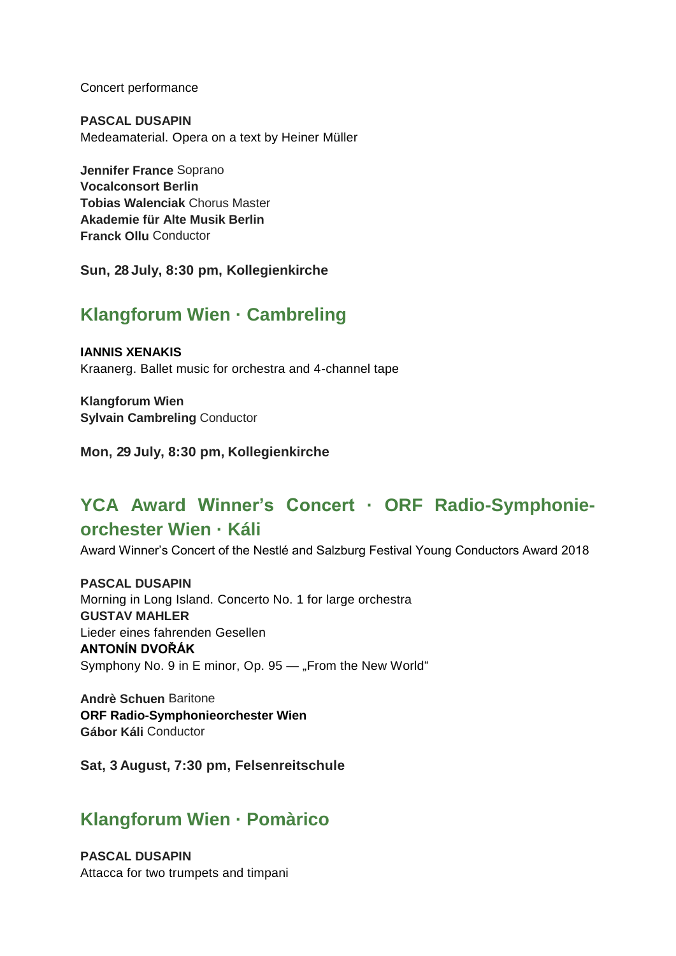Concert performance

**PASCAL DUSAPIN** Medeamaterial. Opera on a text by Heiner Müller

**Jennifer France** Soprano **Vocalconsort Berlin Tobias Walenciak** Chorus Master **Akademie für Alte Musik Berlin Franck Ollu** Conductor

**Sun, 28 July, 8:30 pm, [Kollegienkirche](https://www.salzburgerfestspiele.at/l/kollegienkirche)**

# **Klangforum Wien · Cambreling**

**IANNIS XENAKIS** Kraanerg. Ballet music for orchestra and 4-channel tape

**Klangforum Wien Sylvain Cambreling** Conductor

**Mon, 29 July, 8:30 pm, [Kollegienkirche](https://www.salzburgerfestspiele.at/l/kollegienkirche)**

# **YCA Award Winner's Concert · ORF Radio-Symphonieorchester Wien · Káli**

Award Winner's Concert of the Nestlé and Salzburg Festival Young Conductors Award 2018

**PASCAL DUSAPIN** Morning in Long Island. Concerto No. 1 for large orchestra **GUSTAV MAHLER** Lieder eines fahrenden Gesellen **ANTONÍN DVOŘÁK** Symphony No. 9 in E minor, Op. 95 - From the New World"

**Andrè Schuen** Baritone **ORF Radio-Symphonieorchester Wien Gábor Káli** Conductor

**Sat, 3 August, 7:30 pm, [Felsenreitschule](https://www.salzburgerfestspiele.at/l/felsenreitschule)**

## **Klangforum Wien · Pomàrico**

**PASCAL DUSAPIN** Attacca for two trumpets and timpani